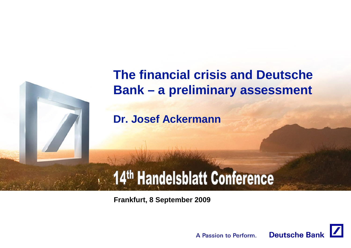# **The financial crisis and Deutsche Bank – a preliminary assessment**

**Dr. Josef Ackermann**

# 14th Handelsblatt Conference

**Frankfurt, 8 September 2009**

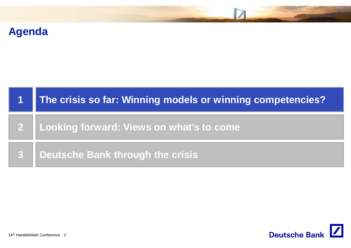### **Agenda**



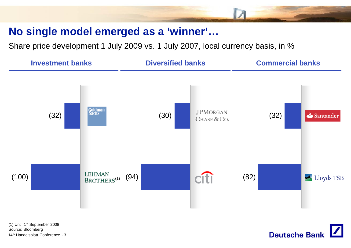#### **No single model emerged as a 'winner'…**

Share price development 1 July 2009 vs. 1 July 2007, local currency basis, in %



14th Handelsblatt Conference · 3 (1) Until 17 September 2008 Source: Bloomberg

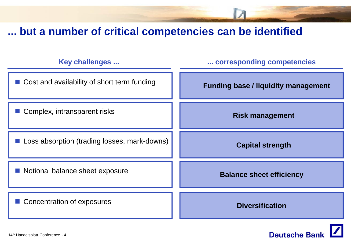**... but a number of critical competencies can be identified**



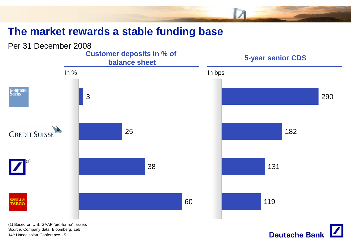#### **The market rewards a stable funding base**



**Deutsche Bank** 

14th Handelsblatt Conference · 5 (1) Based on U.S. GAAP 'pro-forma' assets Source: Company data, Bloomberg, zeb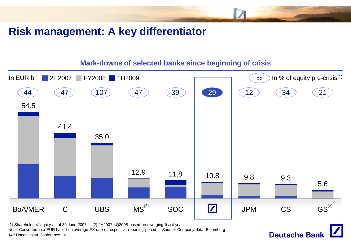#### **Risk management: A key differentiator**



**Deutsche Bank** 

**Mark-downs of selected banks since beginning of crisis**

(1) Shareholders' equity as of 30 June 2007 (2) 2H2007-4Q2008 based on diverging fiscal year

14th Handelsblatt Conference · 6 Note: Converted into EUR based on average FX rate of respective reporting period Source: Company data, Bloomberg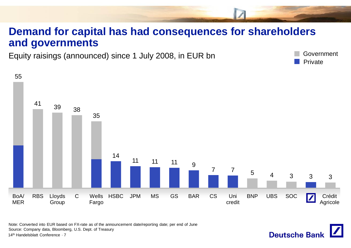#### **Demand for capital has had consequences for shareholders and governments**

Government

**Deutsche Ban** 

Equity raisings (announced) since 1 July 2008, in EUR bn



Note: Converted into EUR based on FX-rate as of the announcement date/reporting date; per end of June Source: Company data, Bloomberg, U.S. Dept. of Treasury

14<sup>th</sup> Handelsblatt Conference · 7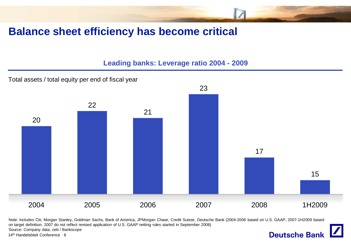#### **Balance sheet efficiency has become critical**

#### **Leading banks: Leverage ratio 2004 - 2009**

Total assets / total equity per end of fiscal year



Note: Includes Citi, Morgan Stanley, Goldman Sachs, Bank of America, JPMorgan Chase, Credit Suisse, Deutsche Bank (2004-2006 based on U.S. GAAP, 2007-1H2009 based on target definition; 2007 do not reflect revised application of U.S. GAAP netting rules started in September 2008) Source: Company data, zeb / Bankscope **Deutsche Bank** 14th Handelsblatt Conference · 8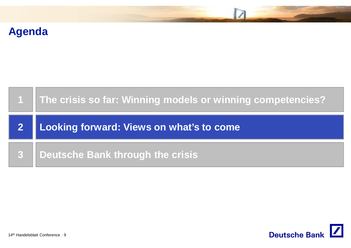

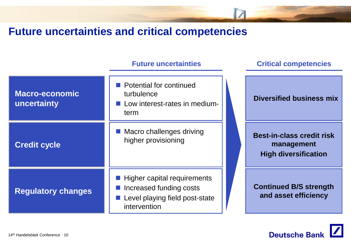#### **Future uncertainties and critical competencies**

|                                      | <b>Future uncertainties</b>                                                                              | <b>Critical competencies</b> |                                                                               |
|--------------------------------------|----------------------------------------------------------------------------------------------------------|------------------------------|-------------------------------------------------------------------------------|
| <b>Macro-economic</b><br>uncertainty | <b>Potential for continued</b><br>turbulence<br>Low interest-rates in medium-<br>term                    |                              | <b>Diversified business mix</b>                                               |
| <b>Credit cycle</b>                  | Macro challenges driving<br>higher provisioning                                                          |                              | <b>Best-in-class credit risk</b><br>management<br><b>High diversification</b> |
| <b>Regulatory changes</b>            | Higher capital requirements<br>Increased funding costs<br>Level playing field post-state<br>intervention |                              | <b>Continued B/S strength</b><br>and asset efficiency                         |

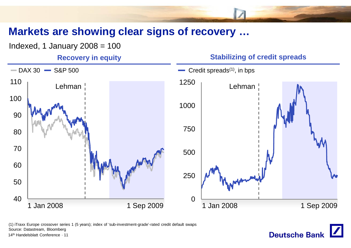## **Markets are showing clear signs of recovery …**



**Deutsche Bank** 

(1) iTraxx Europe crossover series 1 (5 years); index of 'sub-investment-grade'-rated credit default swaps Source: Datastream, Bloomberg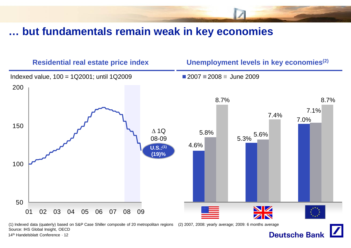#### **… but fundamentals remain weak in key economies**



**Deutsche Bank** 

Source: IHS Global Insight, OECD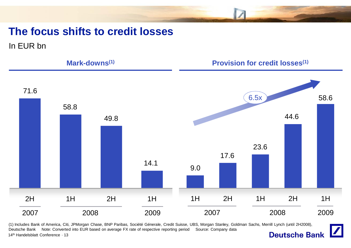# **The focus shifts to credit losses**

In EUR bn



(1) Includes Bank of America, Citi, JPMorgan Chase, BNP Paribas, Société Génerale, Credit Suisse, UBS, Morgan Stanley, Goldman Sachs, Merrill Lynch (until 2H2008), Deutsche Bank Note: Converted into EUR based on average FX rate of respective reporting period Source: Company data **Deutsche Bank** 14th Handelsblatt Conference · 13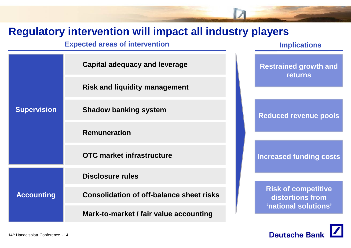#### **Regulatory intervention will impact all industry players**

#### **Expected areas of intervention Implications**

**Capital adequacy and leverage**

**Risk and liquidity management**

**Shadow banking system**

**Remuneration**

**OTC market infrastructure**

**Disclosure rules**

**Accounting**

**Supervision**

**Consolidation of off-balance sheet risks**

**Mark-to-market / fair value accounting**

**Restrained growth and returns**

**Reduced revenue pools**

**Increased funding costs**

**Risk of competitive distortions from 'national solutions'**

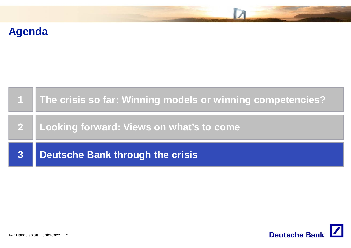



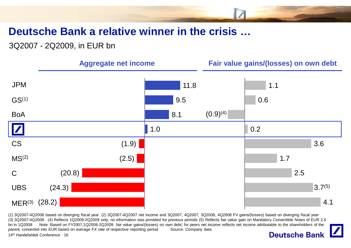#### **Deutsche Bank a relative winner in the crisis …**

3Q2007 - 2Q2009, in EUR bn



(1) 3Q2007-4Q2008 based on diverging fiscal year (2) 3Q2007-4Q2007 net income and 3Q2007, 4Q2007, 3Q2008, 4Q2008 FV gains/(losses) based on diverging fiscal year (3) 3Q2007-4Q2008 (4) Reflects 1Q2009-2Q2009 only, no information was provided for previous periods (5) Reflects fair value gain on Mandatory Convertible Notes of EUR 2.4 bn in 1Q2008 Note: Based on FY2007,1Q2008-2Q2009 fair value gains/(losses) on own debt; for peers net income reflects net income attributable to the shareholders of the parent; converted into EUR based on average FX rate of respective reporting period Source: Company data **Deutsche Bank** 14th Handelsblatt Conference · 16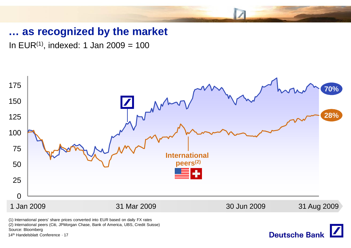#### **… as recognized by the market**

In EUR<sup>(1)</sup>, indexed: 1 Jan 2009 = 100

![](_page_16_Figure_2.jpeg)

(1) International peers' share prices converted into EUR based on daily FX rates

(2) International peers (Citi, JPMorgan Chase, Bank of America, UBS, Credit Suisse)

Source: Bloomberg

14<sup>th</sup> Handelsblatt Conference · 17

![](_page_16_Picture_7.jpeg)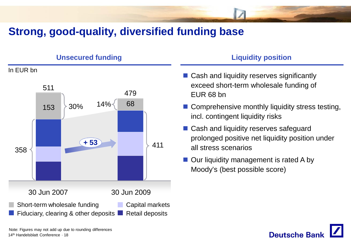# **Strong, good-quality, diversified funding base**

#### **Unsecured funding Liquidity position**

#### In EUR bn

![](_page_17_Figure_3.jpeg)

- Cash and liquidity reserves significantly exceed short-term wholesale funding of EUR 68 bn
- Comprehensive monthly liquidity stress testing, incl. contingent liquidity risks
- Cash and liquidity reserves safeguard prolonged positive net liquidity position under all stress scenarios
- Our liquidity management is rated A by Moody's (best possible score)

![](_page_17_Picture_9.jpeg)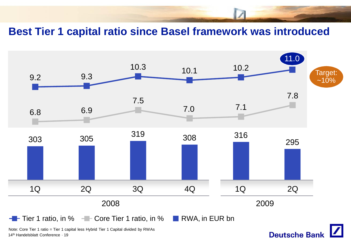#### **Best Tier 1 capital ratio since Basel framework was introduced**

![](_page_18_Figure_1.jpeg)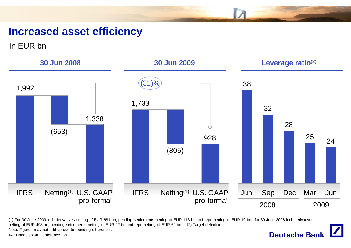## **Increased asset efficiency**

In EUR bn

![](_page_19_Figure_2.jpeg)

(1) For 30 June 2009 incl. derivatives netting of EUR 681 bn, pending settlements netting of EUR 113 bn and repo netting of EUR 10 bn; for 30 June 2008 incl. derivatives netting of EUR 498 bn, pending settlements netting of EUR 92 bn and repo netting of EUR 62 bn (2) Target definition Note: Figures may not add up due to rounding differences **Deutsche Bank**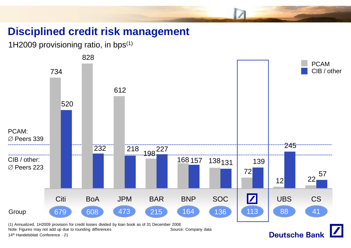# **Disciplined credit risk management**

1H2009 provisioning ratio, in bps(1)

![](_page_20_Figure_2.jpeg)

Note: Figures may not add up due to rounding differences Source: Company data

14th Handelsblatt Conference · 21

**Deutsche Bank**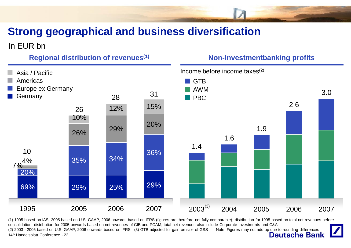# **Strong geographical and business diversification**

#### In EUR bn

![](_page_21_Figure_2.jpeg)

(1) 1995 based on IAS, 2005 based on U.S. GAAP, 2006 onwards based on IFRS (figures are therefore not fully comparable); distribution for 1995 based on total net revenues before consolidation, distribution for 2005 onwards based on net revenues of CIB and PCAM; total net revenues also include Corporate Investments and C&A (2) 2003 - 2005 based on U.S. GAAP, 2006 onwards based on IFRS (3) GTB adjusted for gain on sale of GSS Note: Figures may not add up due to rounding differences **Deutsche Bank** 14th Handelsblatt Conference · 22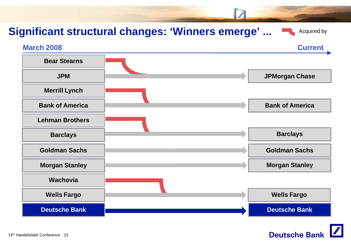![](_page_22_Figure_0.jpeg)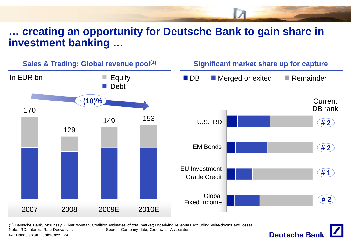#### **… creating an opportunity for Deutsche Bank to gain share in investment banking …**

![](_page_23_Figure_1.jpeg)

(1) Deutsche Bank, McKinsey, Oliver Wyman, Coalition estimates of total market; underlying revenues excluding write-downs and losses Note: IRD: Interest Rate Derivatives Source: Company data, Greenwich Associates

14th Handelsblatt Conference · 24

**Deutsche Bank**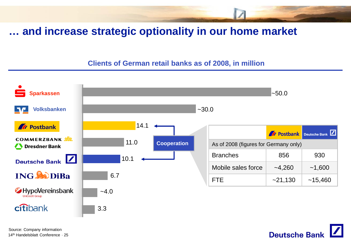#### **… and increase strategic optionality in our home market**

#### **Clients of German retail banks as of 2008, in million**

![](_page_24_Figure_2.jpeg)

14th Handelsblatt Conference · 25 Source: Company information

![](_page_24_Picture_4.jpeg)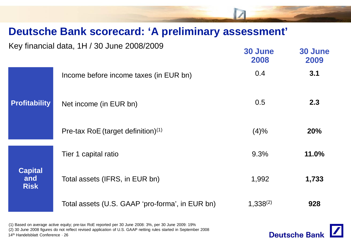#### **Deutsche Bank scorecard: 'A preliminary assessment'**

Key financial data, 1H / 30 June 2008/2009

|                                      | $110, 1110, 1010, 0010, 1117, 00000, 00110, 0000, 0000$ | 30 June<br>2008 | 30 June<br>2009 |
|--------------------------------------|---------------------------------------------------------|-----------------|-----------------|
|                                      | Income before income taxes (in EUR bn)                  | 0.4             | 3.1             |
| <b>Profitability</b>                 | Net income (in EUR bn)                                  | 0.5             | 2.3             |
|                                      | Pre-tax RoE (target definition) $(1)$                   | (4)%            | <b>20%</b>      |
|                                      | Tier 1 capital ratio                                    | 9.3%            | 11.0%           |
| <b>Capital</b><br>and<br><b>Risk</b> | Total assets (IFRS, in EUR bn)                          | 1,992           | 1,733           |
|                                      | Total assets (U.S. GAAP 'pro-forma', in EUR bn)         | $1,338^{(2)}$   | 928             |

(1) Based on average active equity; pre-tax RoE reported per 30 June 2008: 3%, per 30 June 2009: 19%

(2) 30 June 2008 figures do not reflect revised application of U.S. GAAP netting rules started in September 2008

14th Handelsblatt Conference · 26

![](_page_25_Picture_6.jpeg)

**30 June**